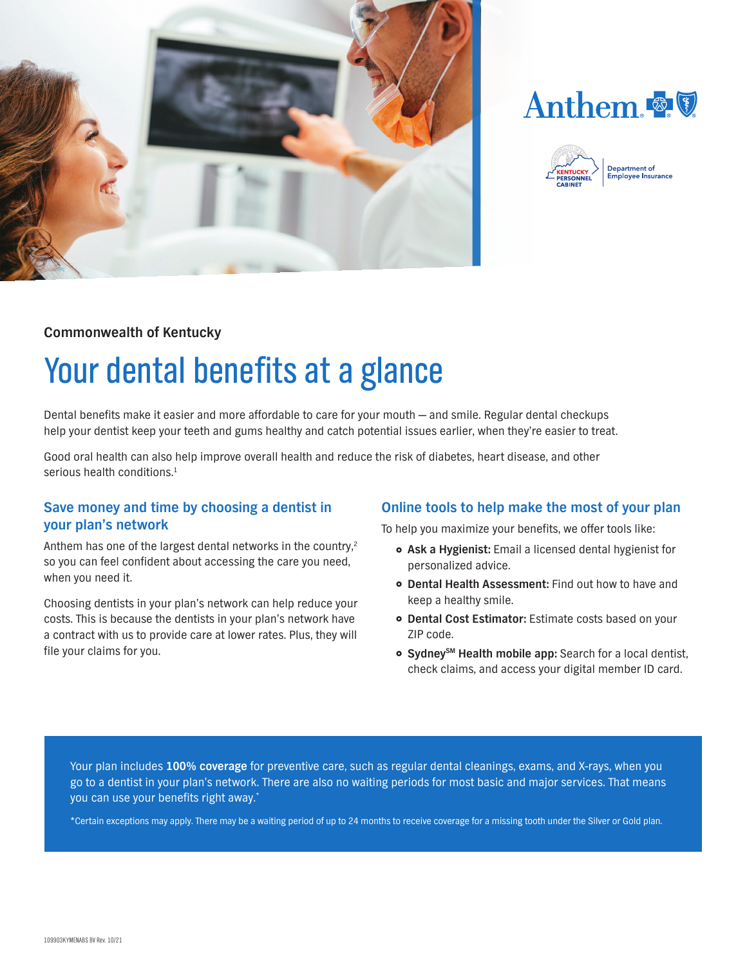





## **Commonwealth of Kentucky**

# Your dental benefits at a glance

Dental benefits make it easier and more affordable to care for your mouth — and smile. Regular dental checkups help your dentist keep your teeth and gums healthy and catch potential issues earlier, when they're easier to treat.

Good oral health can also help improve overall health and reduce the risk of diabetes, heart disease, and other serious health conditions.<sup>1</sup>

### **Save money and time by choosing a dentist in your plan's network**

Anthem has one of the largest dental networks in the country,<sup>2</sup> so you can feel confident about accessing the care you need, when you need it.

Choosing dentists in your plan's network can help reduce your costs. This is because the dentists in your plan's network have a contract with us to provide care at lower rates. Plus, they will file your claims for you.

### **Online tools to help make the most of your plan**

To help you maximize your benefits, we offer tools like:

- } **Ask a Hygienist:** Email a licensed dental hygienist for personalized advice.
- **Dental Health Assessment:** Find out how to have and keep a healthy smile.
- } **Dental Cost Estimator:** Estimate costs based on your ZIP code.
- **Sydney**<sup>SM</sup> Health mobile app: Search for a local dentist, check claims, and access your digital member ID card.

Your plan includes **100% coverage** for preventive care, such as regular dental cleanings, exams, and X-rays, when you go to a dentist in your plan's network. There are also no waiting periods for most basic and major services. That means you can use your benefits right away.\*

\*Certain exceptions may apply. There may be a waiting period of up to 24 months to receive coverage for a missing tooth under the Silver or Gold plan.